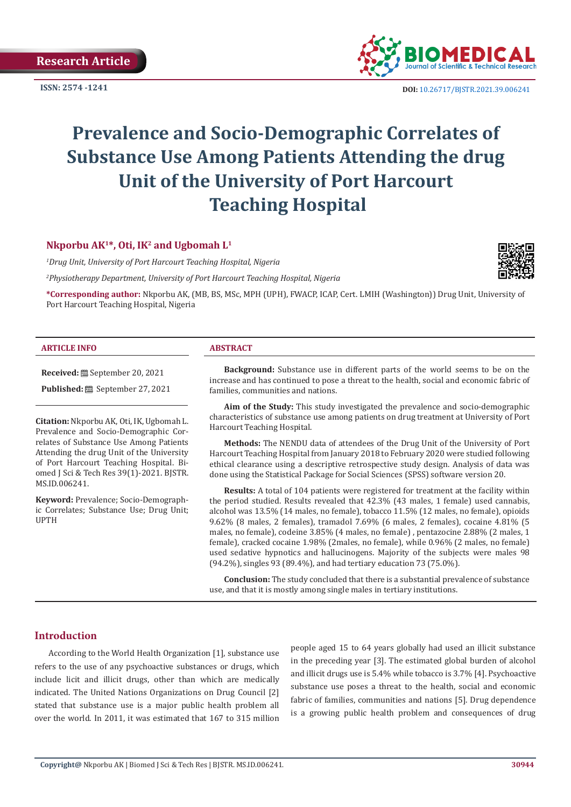**ISSN: 2574 -1241**



 **DOI:** [10.26717/BJSTR.2021.39.006241](https://dx.doi.org/10.26717/BJSTR.2021.39.006241)

# **Prevalence and Socio-Demographic Correlates of Substance Use Among Patients Attending the drug Unit of the University of Port Harcourt Teaching Hospital**

# **Nkporbu AK1\*, Oti, IK2 and Ugbomah L1**

*1 Drug Unit, University of Port Harcourt Teaching Hospital, Nigeria*

*2 Physiotherapy Department, University of Port Harcourt Teaching Hospital, Nigeria*



**\*Corresponding author:** Nkporbu AK, (MB, BS, MSc, MPH (UPH), FWACP, ICAP, Cert. LMIH (Washington)) Drug Unit, University of Port Harcourt Teaching Hospital, Nigeria

#### **ARTICLE INFO ABSTRACT**

**Received:** September 20, 2021

**Published:** <sup>[3]</sup> September 27, 2021

**Citation:** Nkporbu AK, Oti, IK, Ugbomah L. Prevalence and Socio-Demographic Correlates of Substance Use Among Patients Attending the drug Unit of the University of Port Harcourt Teaching Hospital. Biomed J Sci & Tech Res 39(1)-2021. BJSTR. MS.ID.006241.

**Keyword:** Prevalence; Socio-Demographic Correlates; Substance Use; Drug Unit; UPTH

**Background:** Substance use in different parts of the world seems to be on the increase and has continued to pose a threat to the health, social and economic fabric of families, communities and nations.

**Aim of the Study:** This study investigated the prevalence and socio-demographic characteristics of substance use among patients on drug treatment at University of Port Harcourt Teaching Hospital.

**Methods:** The NENDU data of attendees of the Drug Unit of the University of Port Harcourt Teaching Hospital from January 2018 to February 2020 were studied following ethical clearance using a descriptive retrospective study design. Analysis of data was done using the Statistical Package for Social Sciences (SPSS) software version 20.

**Results:** A total of 104 patients were registered for treatment at the facility within the period studied. Results revealed that 42.3% (43 males, 1 female) used cannabis, alcohol was 13.5% (14 males, no female), tobacco 11.5% (12 males, no female), opioids 9.62% (8 males, 2 females), tramadol 7.69% (6 males, 2 females), cocaine 4.81% (5 males, no female), codeine 3.85% (4 males, no female) , pentazocine 2.88% (2 males, 1 female), cracked cocaine 1.98% (2males, no female), while 0.96% (2 males, no female) used sedative hypnotics and hallucinogens. Majority of the subjects were males 98 (94.2%), singles 93 (89.4%), and had tertiary education 73 (75.0%).

**Conclusion:** The study concluded that there is a substantial prevalence of substance use, and that it is mostly among single males in tertiary institutions.

# **Introduction**

According to the World Health Organization [1], substance use refers to the use of any psychoactive substances or drugs, which include licit and illicit drugs, other than which are medically indicated. The United Nations Organizations on Drug Council [2] stated that substance use is a major public health problem all over the world. In 2011, it was estimated that 167 to 315 million people aged 15 to 64 years globally had used an illicit substance in the preceding year [3]. The estimated global burden of alcohol and illicit drugs use is 5.4% while tobacco is 3.7% [4]. Psychoactive substance use poses a threat to the health, social and economic fabric of families, communities and nations [5]. Drug dependence is a growing public health problem and consequences of drug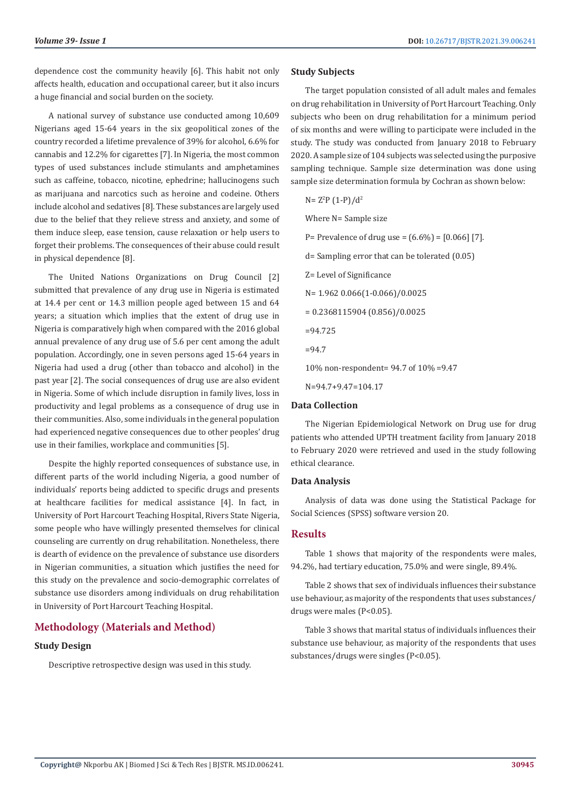dependence cost the community heavily [6]. This habit not only affects health, education and occupational career, but it also incurs a huge financial and social burden on the society.

A national survey of substance use conducted among 10,609 Nigerians aged 15-64 years in the six geopolitical zones of the country recorded a lifetime prevalence of 39% for alcohol, 6.6% for cannabis and 12.2% for cigarettes [7]. In Nigeria, the most common types of used substances include stimulants and amphetamines such as caffeine, tobacco, nicotine, ephedrine; hallucinogens such as marijuana and narcotics such as heroine and codeine. Others include alcohol and sedatives [8]. These substances are largely used due to the belief that they relieve stress and anxiety, and some of them induce sleep, ease tension, cause relaxation or help users to forget their problems. The consequences of their abuse could result in physical dependence [8].

The United Nations Organizations on Drug Council [2] submitted that prevalence of any drug use in Nigeria is estimated at 14.4 per cent or 14.3 million people aged between 15 and 64 years; a situation which implies that the extent of drug use in Nigeria is comparatively high when compared with the 2016 global annual prevalence of any drug use of 5.6 per cent among the adult population. Accordingly, one in seven persons aged 15-64 years in Nigeria had used a drug (other than tobacco and alcohol) in the past year [2]. The social consequences of drug use are also evident in Nigeria. Some of which include disruption in family lives, loss in productivity and legal problems as a consequence of drug use in their communities. Also, some individuals in the general population had experienced negative consequences due to other peoples' drug use in their families, workplace and communities [5].

Despite the highly reported consequences of substance use, in different parts of the world including Nigeria, a good number of individuals' reports being addicted to specific drugs and presents at healthcare facilities for medical assistance [4]. In fact, in University of Port Harcourt Teaching Hospital, Rivers State Nigeria, some people who have willingly presented themselves for clinical counseling are currently on drug rehabilitation. Nonetheless, there is dearth of evidence on the prevalence of substance use disorders in Nigerian communities, a situation which justifies the need for this study on the prevalence and socio-demographic correlates of substance use disorders among individuals on drug rehabilitation in University of Port Harcourt Teaching Hospital.

# **Methodology (Materials and Method)**

### **Study Design**

Descriptive retrospective design was used in this study.

#### **Study Subjects**

The target population consisted of all adult males and females on drug rehabilitation in University of Port Harcourt Teaching. Only subjects who been on drug rehabilitation for a minimum period of six months and were willing to participate were included in the study. The study was conducted from January 2018 to February 2020. A sample size of 104 subjects was selected using the purposive sampling technique. Sample size determination was done using sample size determination formula by Cochran as shown below:

$$
N = Z2P (1-P)/d2
$$

Where N= Sample size

- P= Prevalence of drug use =  $(6.6\%)$  =  $[0.066]$  [7].
- d= Sampling error that can be tolerated (0.05)
- Z= Level of Significance
- N= 1.962 0.066(1-0.066)/0.0025
- = 0.2368115904 (0.856)/0.0025
- =94.725
- =94.7

10% non-respondent= 94.7 of 10% =9.47

N=94.7+9.47=104.17

#### **Data Collection**

The Nigerian Epidemiological Network on Drug use for drug patients who attended UPTH treatment facility from January 2018 to February 2020 were retrieved and used in the study following ethical clearance.

#### **Data Analysis**

Analysis of data was done using the Statistical Package for Social Sciences (SPSS) software version 20.

#### **Results**

Table 1 shows that majority of the respondents were males, 94.2%, had tertiary education, 75.0% and were single, 89.4%.

Table 2 shows that sex of individuals influences their substance use behaviour, as majority of the respondents that uses substances/ drugs were males (P<0.05).

Table 3 shows that marital status of individuals influences their substance use behaviour, as majority of the respondents that uses substances/drugs were singles (P<0.05).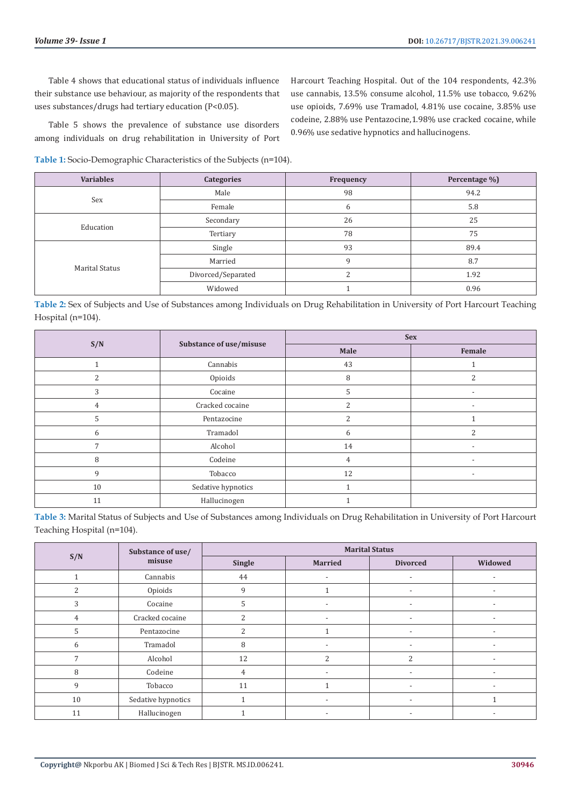Harcourt Teaching Hospital. Out of the 104 respondents, 42.3% use cannabis, 13.5% consume alcohol, 11.5% use tobacco, 9.62% use opioids, 7.69% use Tramadol, 4.81% use cocaine, 3.85% use codeine, 2.88% use Pentazocine,1.98% use cracked cocaine, while

Table 4 shows that educational status of individuals influence their substance use behaviour, as majority of the respondents that uses substances/drugs had tertiary education (P<0.05).

Table 5 shows the prevalence of substance use disorders among individuals on drug rehabilitation in University of Port

0.96% use sedative hypnotics and hallucinogens.

**Table 1:** Socio-Demographic Characteristics of the Subjects (n=104).

| <b>Variables</b>      | <b>Categories</b>  | Frequency | Percentage %) |
|-----------------------|--------------------|-----------|---------------|
| Sex                   | Male               | 98        | 94.2          |
|                       | Female             | b         | 5.8           |
| Education             | Secondary          | 26        | 25            |
|                       | Tertiary           | 78        | 75            |
| <b>Marital Status</b> | Single             | 93        | 89.4          |
|                       | Married            | 9         | 8.7           |
|                       | Divorced/Separated | ∍         | 1.92          |
|                       | Widowed            |           | 0.96          |

**Table 2:** Sex of Subjects and Use of Substances among Individuals on Drug Rehabilitation in University of Port Harcourt Teaching Hospital (n=104).

| S/N |                         | <b>Sex</b>     |                          |  |
|-----|-------------------------|----------------|--------------------------|--|
|     | Substance of use/misuse | Male           | Female                   |  |
|     | Cannabis                | 43             |                          |  |
| 2   | Opioids                 | 8              | $\overline{2}$           |  |
| 3   | Cocaine                 | 5              | $\overline{\phantom{0}}$ |  |
| 4   | Cracked cocaine         | 2              |                          |  |
| 5   | Pentazocine             | C              |                          |  |
| 6   | Tramadol                | 6              | $\overline{c}$           |  |
| 7   | Alcohol                 | 14             | $\overline{\phantom{a}}$ |  |
| 8   | Codeine                 | $\overline{4}$ | $\overline{\phantom{a}}$ |  |
| 9   | Tobacco                 | 12             | $\overline{\phantom{0}}$ |  |
| 10  | Sedative hypnotics      |                |                          |  |
| 11  | Hallucinogen            |                |                          |  |

**Table 3:** Marital Status of Subjects and Use of Substances among Individuals on Drug Rehabilitation in University of Port Harcourt Teaching Hospital (n=104).

| S/N | Substance of use/<br>misuse | <b>Marital Status</b> |                          |                          |                          |
|-----|-----------------------------|-----------------------|--------------------------|--------------------------|--------------------------|
|     |                             | Single                | <b>Married</b>           | <b>Divorced</b>          | Widowed                  |
|     | Cannabis                    | 44                    |                          |                          | $\overline{\phantom{a}}$ |
| 2   | Opioids                     | 9                     |                          |                          |                          |
| 3   | Cocaine                     | 5                     | $\overline{\phantom{a}}$ | $\overline{\phantom{a}}$ | $\overline{\phantom{a}}$ |
| 4   | Cracked cocaine             | ำ                     | $\overline{\phantom{a}}$ |                          | ٠                        |
| 5   | Pentazocine                 |                       |                          |                          |                          |
| 6   | Tramadol                    | 8                     |                          | $\overline{\phantom{a}}$ | $\overline{\phantom{a}}$ |
|     | Alcohol                     | 12                    | $\overline{\mathcal{L}}$ | 2                        |                          |
| 8   | Codeine                     | 4                     |                          |                          |                          |
| 9   | Tobacco                     | 11                    |                          | $\overline{\phantom{a}}$ | $\overline{\phantom{a}}$ |
| 10  | Sedative hypnotics          |                       | $\overline{\phantom{a}}$ | $\overline{\phantom{a}}$ |                          |
| 11  | Hallucinogen                |                       |                          |                          |                          |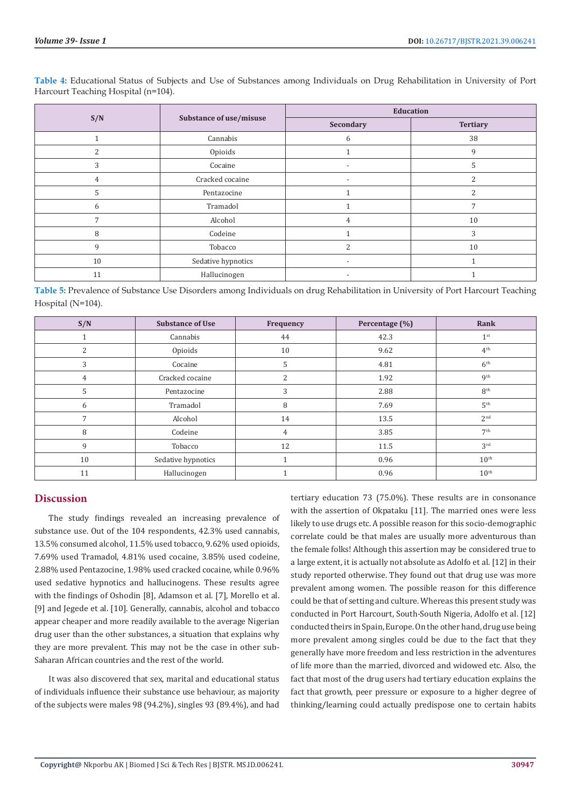|     | Substance of use/misuse | <b>Education</b>         |                 |  |
|-----|-------------------------|--------------------------|-----------------|--|
| S/N |                         | Secondary                | <b>Tertiary</b> |  |
|     | Cannabis                | 6                        | 38              |  |
|     | Opioids                 |                          | 9               |  |
| 3   | Cocaine                 | $\overline{\phantom{a}}$ | 5               |  |
| 4   | Cracked cocaine         | $\overline{\phantom{a}}$ | $\overline{c}$  |  |
| 5   | Pentazocine             |                          | 2               |  |
| 6   | Tramadol                |                          | $\overline{ }$  |  |
| 7   | Alcohol                 | 4                        | 10              |  |
| 8   | Codeine                 |                          | 3               |  |
| 9   | Tobacco                 | $\mathcal{L}$            | 10              |  |
| 10  | Sedative hypnotics      | $\overline{\phantom{a}}$ |                 |  |
| 11  | Hallucinogen            |                          |                 |  |

**Table 4:** Educational Status of Subjects and Use of Substances among Individuals on Drug Rehabilitation in University of Port Harcourt Teaching Hospital (n=104).

**Table 5:** Prevalence of Substance Use Disorders among Individuals on drug Rehabilitation in University of Port Harcourt Teaching Hospital (N=104).

| S/N            | <b>Substance of Use</b> | Frequency | Percentage (%) | Rank             |
|----------------|-------------------------|-----------|----------------|------------------|
|                | Cannabis                | 44        | 42.3           | 1 <sup>st</sup>  |
| 2              | Opioids                 | 10        | 9.62           | 4 <sup>th</sup>  |
| 3              | Cocaine                 | 5         | 4.81           | 6 <sup>th</sup>  |
| 4              | Cracked cocaine         | 2         | 1.92           | <b>g</b> th      |
| 5              | Pentazocine             | 3         | 2.88           | 8 <sup>th</sup>  |
| 6              | Tramadol                | 8         | 7.69           | 5 <sup>th</sup>  |
| $\overline{7}$ | Alcohol                 | 14        | 13.5           | 2 <sup>nd</sup>  |
| 8              | Codeine                 | 4         | 3.85           | 7 <sup>th</sup>  |
| 9              | Tobacco                 | 12        | 11.5           | 3 <sup>rd</sup>  |
| 10             | Sedative hypnotics      |           | 0.96           | $10^{\text{th}}$ |
| 11             | Hallucinogen            |           | 0.96           | 10 <sup>th</sup> |

# **Discussion**

The study findings revealed an increasing prevalence of substance use. Out of the 104 respondents, 42.3% used cannabis, 13.5% consumed alcohol, 11.5% used tobacco, 9.62% used opioids, 7.69% used Tramadol, 4.81% used cocaine, 3.85% used codeine, 2.88% used Pentazocine, 1.98% used cracked cocaine, while 0.96% used sedative hypnotics and hallucinogens. These results agree with the findings of Oshodin [8], Adamson et al. [7], Morello et al. [9] and Jegede et al. [10]. Generally, cannabis, alcohol and tobacco appear cheaper and more readily available to the average Nigerian drug user than the other substances, a situation that explains why they are more prevalent. This may not be the case in other sub-Saharan African countries and the rest of the world.

It was also discovered that sex, marital and educational status of individuals influence their substance use behaviour, as majority of the subjects were males 98 (94.2%), singles 93 (89.4%), and had tertiary education 73 (75.0%). These results are in consonance with the assertion of Okpataku [11]. The married ones were less likely to use drugs etc. A possible reason for this socio-demographic correlate could be that males are usually more adventurous than the female folks! Although this assertion may be considered true to a large extent, it is actually not absolute as Adolfo et al. [12] in their study reported otherwise. They found out that drug use was more prevalent among women. The possible reason for this difference could be that of setting and culture. Whereas this present study was conducted in Port Harcourt, South-South Nigeria, Adolfo et al. [12] conducted theirs in Spain, Europe. On the other hand, drug use being more prevalent among singles could be due to the fact that they generally have more freedom and less restriction in the adventures of life more than the married, divorced and widowed etc. Also, the fact that most of the drug users had tertiary education explains the fact that growth, peer pressure or exposure to a higher degree of thinking/learning could actually predispose one to certain habits